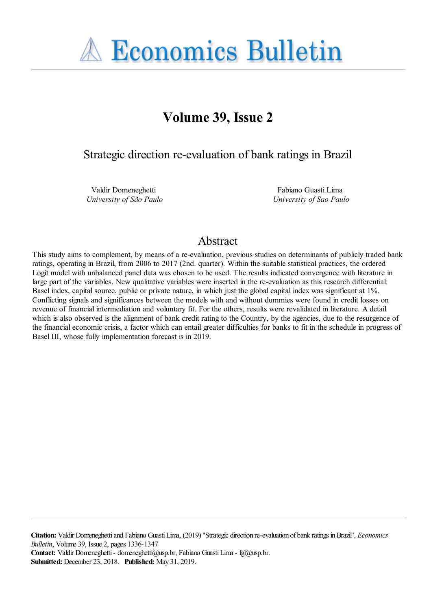

# **Volume 39, Issue 2**

Strategic direction re-evaluation of bank ratings in Brazil

Valdir Domeneghetti *University of São Paulo*

Fabiano Guasti Lima *University of Sao Paulo*

## Abstract

This study aims to complement, by means of a re-evaluation, previous studies on determinants of publicly traded bank ratings, operating in Brazil, from 2006 to 2017 (2nd. quarter). Within the suitable statistical practices, the ordered Logit model with unbalanced panel data was chosen to be used. The results indicated convergence with literature in large part of the variables. New qualitative variables were inserted in the re-evaluation as this research differential: Basel index, capital source, public or private nature, in which just the global capital index was significant at 1%. Conflicting signals and significances between the models with and without dummies were found in credit losses on revenue of financial intermediation and voluntary fit. For the others, results were revalidated in literature. A detail which is also observed is the alignment of bank credit rating to the Country, by the agencies, due to the resurgence of the financial economic crisis, a factor which can entail greater difficulties for banks to fit in the schedule in progress of Basel III, whose fully implementation forecast is in 2019.

**Citation:** Valdir Domeneghetti and Fabiano Guasti Lima, (2019) ''Strategic direction re-evaluation of bank ratings in Brazil'', *Economics Bulletin*, Volume 39, Issue 2, pages 1336-1347 **Contact:** Valdir Domeneghetti - domeneghetti@usp.br, Fabiano Guasti Lima - fgl@usp.br. **Submitted:** December 23, 2018. **Published:** May 31, 2019.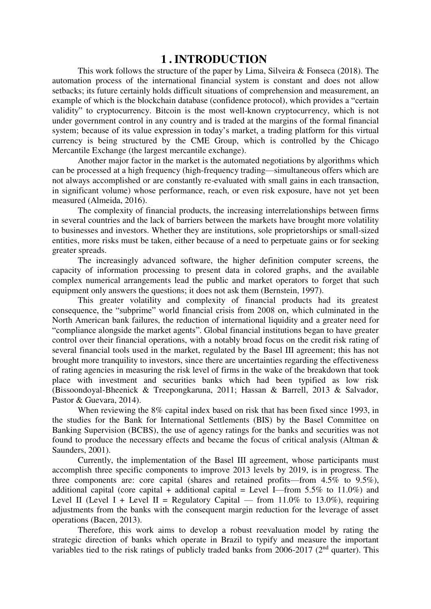## **1 . INTRODUCTION**

This work follows the structure of the paper by Lima, Silveira & Fonseca (2018). The automation process of the international financial system is constant and does not allow setbacks; its future certainly holds difficult situations of comprehension and measurement, an example of which is the blockchain database (confidence protocol), which provides a "certain validity" to cryptocurrency. Bitcoin is the most well-known cryptocurrency, which is not under government control in any country and is traded at the margins of the formal financial system; because of its value expression in today's market, a trading platform for this virtual currency is being structured by the CME Group, which is controlled by the Chicago Mercantile Exchange (the largest mercantile exchange).

Another major factor in the market is the automated negotiations by algorithms which can be processed at a high frequency (high-frequency trading—simultaneous offers which are not always accomplished or are constantly re-evaluated with small gains in each transaction, in significant volume) whose performance, reach, or even risk exposure, have not yet been measured (Almeida, 2016).

The complexity of financial products, the increasing interrelationships between firms in several countries and the lack of barriers between the markets have brought more volatility to businesses and investors. Whether they are institutions, sole proprietorships or small-sized entities, more risks must be taken, either because of a need to perpetuate gains or for seeking greater spreads.

The increasingly advanced software, the higher definition computer screens, the capacity of information processing to present data in colored graphs, and the available complex numerical arrangements lead the public and market operators to forget that such equipment only answers the questions; it does not ask them (Bernstein, 1997).

This greater volatility and complexity of financial products had its greatest consequence, the "subprime" world financial crisis from 2008 on, which culminated in the North American bank failures, the reduction of international liquidity and a greater need for "compliance alongside the market agents". Global financial institutions began to have greater control over their financial operations, with a notably broad focus on the credit risk rating of several financial tools used in the market, regulated by the Basel III agreement; this has not brought more tranquility to investors, since there are uncertainties regarding the effectiveness of rating agencies in measuring the risk level of firms in the wake of the breakdown that took place with investment and securities banks which had been typified as low risk (Bissoondoyal-Bheenick & Treepongkaruna, 2011; Hassan & Barrell, 2013 & Salvador, Pastor & Guevara, 2014).

When reviewing the 8% capital index based on risk that has been fixed since 1993, in the studies for the Bank for International Settlements (BIS) by the Basel Committee on Banking Supervision (BCBS), the use of agency ratings for the banks and securities was not found to produce the necessary effects and became the focus of critical analysis (Altman & Saunders, 2001).

Currently, the implementation of the Basel III agreement, whose participants must accomplish three specific components to improve 2013 levels by 2019, is in progress. The three components are: core capital (shares and retained profits—from 4.5% to 9.5%), additional capital (core capital + additional capital = Level I—from 5.5% to 11.0%) and Level II (Level I + Level II = Regulatory Capital — from 11.0% to 13.0%), requiring adjustments from the banks with the consequent margin reduction for the leverage of asset operations (Bacen, 2013).

Therefore, this work aims to develop a robust reevaluation model by rating the strategic direction of banks which operate in Brazil to typify and measure the important variables tied to the risk ratings of publicly traded banks from  $2006-2017$  ( $2<sup>nd</sup>$  quarter). This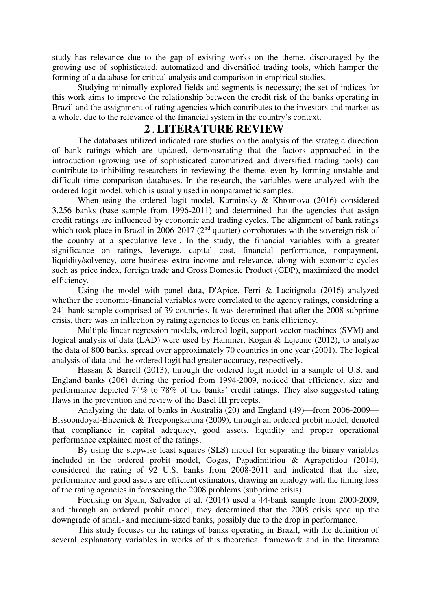study has relevance due to the gap of existing works on the theme, discouraged by the growing use of sophisticated, automatized and diversified trading tools, which hamper the forming of a database for critical analysis and comparison in empirical studies.

Studying minimally explored fields and segments is necessary; the set of indices for this work aims to improve the relationship between the credit risk of the banks operating in Brazil and the assignment of rating agencies which contributes to the investors and market as a whole, due to the relevance of the financial system in the country's context.

## **2 . LITERATURE REVIEW**

The databases utilized indicated rare studies on the analysis of the strategic direction of bank ratings which are updated, demonstrating that the factors approached in the introduction (growing use of sophisticated automatized and diversified trading tools) can contribute to inhibiting researchers in reviewing the theme, even by forming unstable and difficult time comparison databases. In the research, the variables were analyzed with the ordered logit model, which is usually used in nonparametric samples.

When using the ordered logit model, Karminsky & Khromova (2016) considered 3,256 banks (base sample from 1996-2011) and determined that the agencies that assign credit ratings are influenced by economic and trading cycles. The alignment of bank ratings which took place in Brazil in 2006-2017 (2<sup>nd</sup> quarter) corroborates with the sovereign risk of the country at a speculative level. In the study, the financial variables with a greater significance on ratings, leverage, capital cost, financial performance, nonpayment, liquidity/solvency, core business extra income and relevance, along with economic cycles such as price index, foreign trade and Gross Domestic Product (GDP), maximized the model efficiency.

Using the model with panel data, D'Apice, Ferri & Lacitignola (2016) analyzed whether the economic-financial variables were correlated to the agency ratings, considering a 241-bank sample comprised of 39 countries. It was determined that after the 2008 subprime crisis, there was an inflection by rating agencies to focus on bank efficiency.

Multiple linear regression models, ordered logit, support vector machines (SVM) and logical analysis of data (LAD) were used by Hammer, Kogan & Lejeune (2012), to analyze the data of 800 banks, spread over approximately 70 countries in one year (2001). The logical analysis of data and the ordered logit had greater accuracy, respectively.

Hassan & Barrell (2013), through the ordered logit model in a sample of U.S. and England banks (206) during the period from 1994-2009, noticed that efficiency, size and performance depicted 74% to 78% of the banks' credit ratings. They also suggested rating flaws in the prevention and review of the Basel III precepts.

Analyzing the data of banks in Australia (20) and England (49)—from 2006-2009— Bissoondoyal-Bheenick & Treepongkaruna (2009), through an ordered probit model, denoted that compliance in capital adequacy, good assets, liquidity and proper operational performance explained most of the ratings.

By using the stepwise least squares (SLS) model for separating the binary variables included in the ordered probit model, Gogas, Papadimitriou & Agrapetidou (2014), considered the rating of 92 U.S. banks from 2008-2011 and indicated that the size, performance and good assets are efficient estimators, drawing an analogy with the timing loss of the rating agencies in foreseeing the 2008 problems (subprime crisis).

Focusing on Spain, Salvador et al. (2014) used a 44-bank sample from 2000-2009, and through an ordered probit model, they determined that the 2008 crisis sped up the downgrade of small- and medium-sized banks, possibly due to the drop in performance.

This study focuses on the ratings of banks operating in Brazil, with the definition of several explanatory variables in works of this theoretical framework and in the literature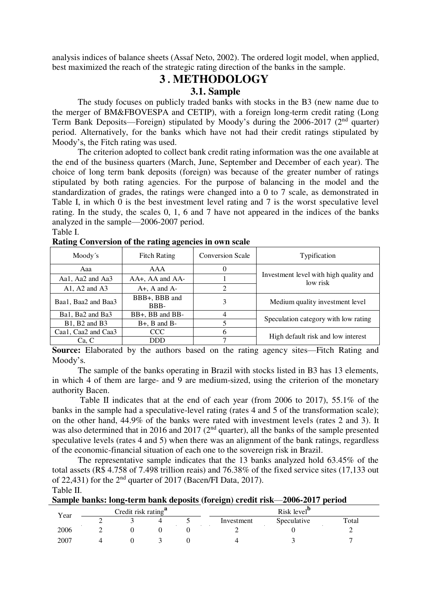analysis indices of balance sheets (Assaf Neto, 2002). The ordered logit model, when applied, best maximized the reach of the strategic rating direction of the banks in the sample.

## **3 . METHODOLOGY**

## **3.1. Sample**

The study focuses on publicly traded banks with stocks in the B3 (new name due to the merger of BM&FBOVESPA and CETIP), with a foreign long-term credit rating (Long Term Bank Deposits—Foreign) stipulated by Moody's during the 2006-2017 (2nd quarter) period. Alternatively, for the banks which have not had their credit ratings stipulated by Moody's, the Fitch rating was used.

The criterion adopted to collect bank credit rating information was the one available at the end of the business quarters (March, June, September and December of each year). The choice of long term bank deposits (foreign) was because of the greater number of ratings stipulated by both rating agencies. For the purpose of balancing in the model and the standardization of grades, the ratings were changed into a 0 to 7 scale, as demonstrated in Table I, in which 0 is the best investment level rating and 7 is the worst speculative level rating. In the study, the scales 0, 1, 6 and 7 have not appeared in the indices of the banks analyzed in the sample—2006-2007 period.

Table I.

| Moody's              | <b>Fitch Rating</b>   | <b>Conversion Scale</b> | Typification                                       |
|----------------------|-----------------------|-------------------------|----------------------------------------------------|
| Aaa                  | AAA                   |                         |                                                    |
| Aa1, Aa2 and Aa3     | AA+, AA and AA-       |                         | Investment level with high quality and<br>low risk |
| A1, A2 and $A3$      | $A+$ , $A$ and $A-$   | $\mathfrak{D}$          |                                                    |
| Baa1, Baa2 and Baa3  | BBB+, BBB and<br>BBB- | 3                       | Medium quality investment level                    |
| Ba1, Ba2 and Ba3     | BB+, BB and BB-       | 4                       | Speculation category with low rating               |
| $B1$ , $B2$ and $B3$ | $B+$ , $B$ and $B-$   |                         |                                                    |
| Caa1, Caa2 and Caa3  | <b>CCC</b>            |                         |                                                    |
| Ca, C                | <b>DDD</b>            |                         | High default risk and low interest                 |

**Rating Conversion of the rating agencies in own scale** 

**Source:** Elaborated by the authors based on the rating agency sites—Fitch Rating and Moody's.

The sample of the banks operating in Brazil with stocks listed in B3 has 13 elements, in which 4 of them are large- and 9 are medium-sized, using the criterion of the monetary authority Bacen.

 Table II indicates that at the end of each year (from 2006 to 2017), 55.1% of the banks in the sample had a speculative-level rating (rates 4 and 5 of the transformation scale); on the other hand, 44.9% of the banks were rated with investment levels (rates 2 and 3). It was also determined that in 2016 and 2017 (2<sup>nd</sup> quarter), all the banks of the sample presented speculative levels (rates 4 and 5) when there was an alignment of the bank ratings, regardless of the economic-financial situation of each one to the sovereign risk in Brazil.

The representative sample indicates that the 13 banks analyzed hold 63.45% of the total assets (R\$ 4.758 of 7.498 trillion reais) and 76.38% of the fixed service sites (17,133 out of 22,431) for the  $2<sup>nd</sup>$  quarter of 2017 (Bacen/FI Data, 2017). Table II.

**Sample banks: long-term bank deposits (foreign) credit risk**—**2006-2017 period**

| Credit risk rating <sup>a</sup><br>Year |  |  |  | Risk level <sup>"</sup> |             |       |
|-----------------------------------------|--|--|--|-------------------------|-------------|-------|
|                                         |  |  |  | Investment              | Speculative | Total |
| 2006                                    |  |  |  |                         |             |       |
| 2007                                    |  |  |  |                         |             |       |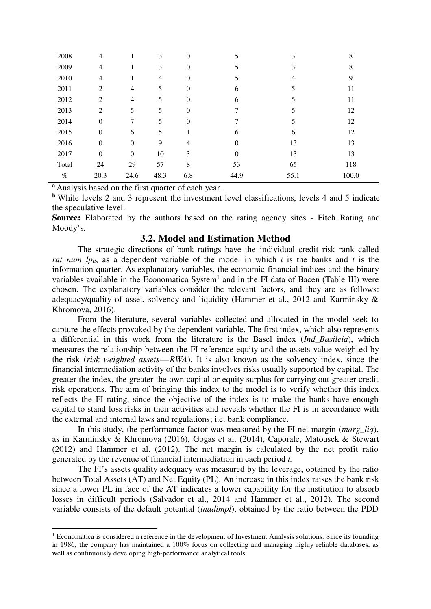| 2008  | 4              |                  | 3              | $\Omega$ |          | 3    | 8     |
|-------|----------------|------------------|----------------|----------|----------|------|-------|
| 2009  | $\overline{4}$ |                  | 3              | $\theta$ | 5        | 3    | 8     |
| 2010  | $\overline{4}$ |                  | $\overline{4}$ | $\theta$ | 5        | 4    | 9     |
| 2011  | 2              | 4                | 5              | $\theta$ | 6        | 5    | 11    |
| 2012  | 2              | 4                | 5              | $\theta$ | 6        | C    | 11    |
| 2013  | 2              | 5                | 5              | $\theta$ |          | 5    | 12    |
| 2014  | $\mathbf{0}$   | 7                | 5              | $\Omega$ | 7        | 5    | 12    |
| 2015  | $\theta$       | 6                | 5              |          | 6        | 6    | 12    |
| 2016  | $\mathbf{0}$   | $\boldsymbol{0}$ | 9              | 4        | $\theta$ | 13   | 13    |
| 2017  | $\mathbf{0}$   | $\boldsymbol{0}$ | 10             | 3        | $\theta$ | 13   | 13    |
| Total | 24             | 29               | 57             | 8        | 53       | 65   | 118   |
| $\%$  | 20.3           | 24.6             | 48.3           | 6.8      | 44.9     | 55.1 | 100.0 |

**<sup>a</sup>** Analysis based on the first quarter of each year.

 $\overline{\phantom{a}}$ 

**<sup>b</sup>** While levels 2 and 3 represent the investment level classifications, levels 4 and 5 indicate the speculative level.

**Source:** Elaborated by the authors based on the rating agency sites - Fitch Rating and Moody's.

#### **3.2. Model and Estimation Method**

The strategic directions of bank ratings have the individual credit risk rank called *rat num*  $lp_{it}$ , as a dependent variable of the model in which *i* is the banks and *t* is the information quarter. As explanatory variables, the economic-financial indices and the binary variables available in the Economatica System<sup>1</sup> and in the FI data of Bacen (Table III) were chosen. The explanatory variables consider the relevant factors, and they are as follows: adequacy/quality of asset, solvency and liquidity (Hammer et al., 2012 and Karminsky & Khromova, 2016).

From the literature, several variables collected and allocated in the model seek to capture the effects provoked by the dependent variable. The first index, which also represents a differential in this work from the literature is the Basel index (*Ind\_Basileia*), which measures the relationship between the FI reference equity and the assets value weighted by the risk (*risk weighted assets* — *RWA*). It is also known as the solvency index, since the financial intermediation activity of the banks involves risks usually supported by capital. The greater the index, the greater the own capital or equity surplus for carrying out greater credit risk operations. The aim of bringing this index to the model is to verify whether this index reflects the FI rating, since the objective of the index is to make the banks have enough capital to stand loss risks in their activities and reveals whether the FI is in accordance with the external and internal laws and regulations; i.e. bank compliance.

In this study, the performance factor was measured by the FI net margin (*marg\_liq*), as in Karminsky & Khromova (2016), Gogas et al. (2014), Caporale, Matousek & Stewart (2012) and Hammer et al. (2012). The net margin is calculated by the net profit ratio generated by the revenue of financial intermediation in each period *t.*

The FI's assets quality adequacy was measured by the leverage, obtained by the ratio between Total Assets (AT) and Net Equity (PL). An increase in this index raises the bank risk since a lower PL in face of the AT indicates a lower capability for the institution to absorb losses in difficult periods (Salvador et al., 2014 and Hammer et al., 2012). The second variable consists of the default potential (*inadimpl*), obtained by the ratio between the PDD

<sup>&</sup>lt;sup>1</sup> Economatica is considered a reference in the development of Investment Analysis solutions. Since its founding in 1986, the company has maintained a 100% focus on collecting and managing highly reliable databases, as well as continuously developing high-performance analytical tools.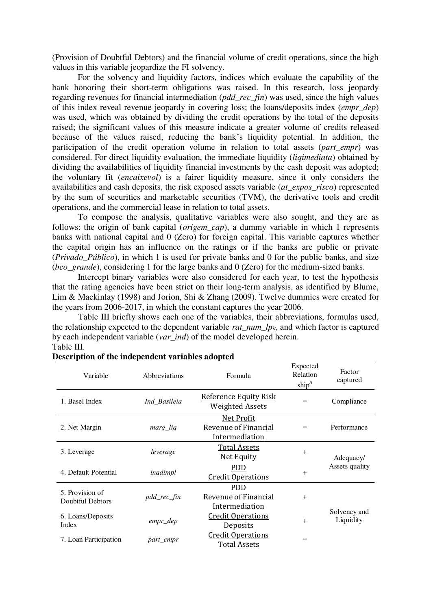(Provision of Doubtful Debtors) and the financial volume of credit operations, since the high values in this variable jeopardize the FI solvency.

For the solvency and liquidity factors, indices which evaluate the capability of the bank honoring their short-term obligations was raised. In this research, loss jeopardy regarding revenues for financial intermediation (*pdd\_rec\_fin*) was used, since the high values of this index reveal revenue jeopardy in covering loss; the loans/deposits index (*empr\_dep*) was used, which was obtained by dividing the credit operations by the total of the deposits raised; the significant values of this measure indicate a greater volume of credits released because of the values raised, reducing the bank's liquidity potential. In addition, the participation of the credit operation volume in relation to total assets (*part empr*) was considered. For direct liquidity evaluation, the immediate liquidity (*liqimediata*) obtained by dividing the availabilities of liquidity financial investments by the cash deposit was adopted; the voluntary fit (*encaixevol*) is a fairer liquidity measure, since it only considers the availabilities and cash deposits, the risk exposed assets variable (*at\_expos\_risco*) represented by the sum of securities and marketable securities (TVM), the derivative tools and credit operations, and the commercial lease in relation to total assets.

To compose the analysis, qualitative variables were also sought, and they are as follows: the origin of bank capital (*origem cap*), a dummy variable in which 1 represents banks with national capital and 0 (Zero) for foreign capital. This variable captures whether the capital origin has an influence on the ratings or if the banks are public or private (*Privado\_Público*), in which 1 is used for private banks and 0 for the public banks, and size (*bco\_grande*), considering 1 for the large banks and 0 (Zero) for the medium-sized banks.

Intercept binary variables were also considered for each year, to test the hypothesis that the rating agencies have been strict on their long-term analysis, as identified by Blume, Lim & Mackinlay (1998) and Jorion, Shi & Zhang (2009). Twelve dummies were created for the years from 2006-2017, in which the constant captures the year 2006.

 Table III briefly shows each one of the variables, their abbreviations, formulas used, the relationship expected to the dependent variable *rat*  $num_lp_{it}$ , and which factor is captured by each independent variable (*var\_ind*) of the model developed herein. Table III.

| Variable                            | Abbreviations | Formula                                                     | Expected<br>Relation<br>ship <sup>a</sup> | Factor<br>captured        |
|-------------------------------------|---------------|-------------------------------------------------------------|-------------------------------------------|---------------------------|
| 1. Basel Index                      | Ind_Basileia  | <b>Reference Equity Risk</b><br><b>Weighted Assets</b>      |                                           | Compliance                |
| 2. Net Margin                       | marg_liq      | <b>Net Profit</b><br>Revenue of Financial<br>Intermediation |                                           | Performance               |
| 3. Leverage                         | leverage      | <b>Total Assets</b><br>Net Equity                           | $+$                                       | Adequacy/                 |
| 4. Default Potential                | inadimpl      | <b>PDD</b><br><b>Credit Operations</b>                      | $+$                                       | Assets quality            |
| 5. Provision of<br>Doubtful Debtors | pdd_rec_fin   | <b>PDD</b><br>Revenue of Financial<br>Intermediation        | $+$                                       |                           |
| 6. Loans/Deposits<br><b>Index</b>   | empr_dep      | <b>Credit Operations</b><br>Deposits                        | $+$                                       | Solvency and<br>Liquidity |
| 7. Loan Participation               | part_empr     | <b>Credit Operations</b><br><b>Total Assets</b>             |                                           |                           |

#### **Description of the independent variables adopted**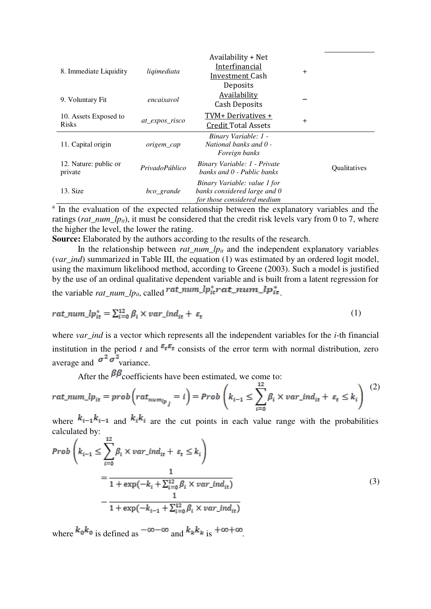| 8. Immediate Liquidity                | ligimediata    | Availability + Net<br>Interfinancial<br>Investment Cash<br>Deposits                         | $+$ |              |
|---------------------------------------|----------------|---------------------------------------------------------------------------------------------|-----|--------------|
| 9. Voluntary Fit                      | encaixavol     | <b>Availability</b><br>Cash Deposits                                                        |     |              |
| 10. Assets Exposed to<br><b>Risks</b> | at expos risco | TVM+ Derivatives +<br><b>Credit Total Assets</b>                                            | $+$ |              |
| 11. Capital origin                    | origem cap     | Binary Variable: 1 -<br>National banks and 0 -<br><i>Foreign banks</i>                      |     |              |
| 12. Nature: public or<br>private      | PrivadoPúblico | Binary Variable: 1 - Private<br>banks and 0 - Public banks                                  |     | Qualitatives |
| 13. Size                              | bco_grande     | Binary Variable: value 1 for<br>banks considered large and 0<br>for those considered medium |     |              |

<sup>a</sup> In the evaluation of the expected relationship between the explanatory variables and the ratings (*rat\_num\_lp<sub>it</sub>*), it must be considered that the credit risk levels vary from 0 to 7, where the higher the level, the lower the rating.

**Source:** Elaborated by the authors according to the results of the research.

In the relationship between *rat\_num\_lp*<sub>*it*</sub> and the independent explanatory variables (*var ind*) summarized in Table III, the equation (1) was estimated by an ordered logit model, using the maximum likelihood method, according to Greene (2003). Such a model is justified by the use of an ordinal qualitative dependent variable and is built from a latent regression for the variable *rat\_num\_lp<sub>it</sub>*, called  $rat\_num\_lp_{it}^*$  *rat\_num\_lp<sub>it</sub>* 

$$
rat\_num\_lp_{it}^* = \sum_{i=0}^{12} \beta_i \times var\_ind_{it} + \varepsilon_t \tag{1}
$$

where *var\_ind* is a vector which represents all the independent variables for the *i*-th financial institution in the period *t* and  $\epsilon_t \epsilon_t$  consists of the error term with normal distribution, zero average and  $\sigma^2 \sigma^2$  variance.

After the  $\beta \beta$  coefficients have been estimated, we come to:

$$
rat\_num\_lp_{it} = prob\left(rat_{num_{lp}} = i\right) = Prob\left(k_{i-1} \le \sum_{i=0}^{12} \beta_i \times var\_ind_{it} + \varepsilon_t \le k_i\right)
$$
 (2)

where  $k_{i-1}k_{i-1}$  and  $k_{i}k_{i}$  are the cut points in each value range with the probabilities calculated by:

$$
Prob\left(k_{i-1} \le \sum_{i=0}^{12} \beta_i \times var\_ind_{it} + \varepsilon_t \le k_i\right)
$$
  
= 
$$
\frac{1}{1 + \exp(-k_i + \sum_{i=0}^{12} \beta_i \times var\_ind_{it})}
$$
  

$$
-\frac{1}{1 + \exp(-k_{i-1} + \sum_{i=0}^{12} \beta_i \times var\_ind_{it})}
$$
 (3)

where  $k_0 k_0$  is defined as  $-\infty - \infty$  and  $k_k k_k$  is  $+\infty + \infty$ .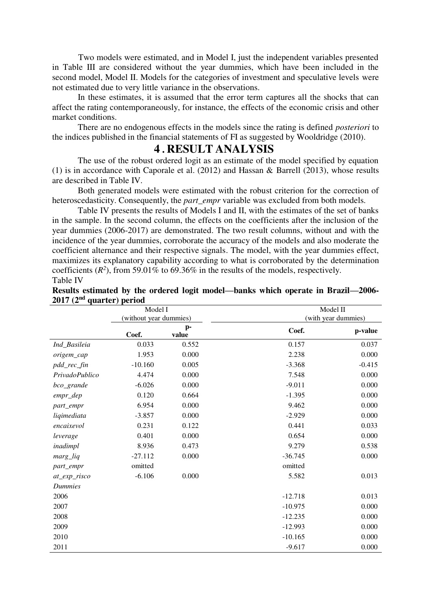Two models were estimated, and in Model I, just the independent variables presented in Table III are considered without the year dummies, which have been included in the second model, Model II. Models for the categories of investment and speculative levels were not estimated due to very little variance in the observations.

In these estimates, it is assumed that the error term captures all the shocks that can affect the rating contemporaneously, for instance, the effects of the economic crisis and other market conditions.

There are no endogenous effects in the models since the rating is defined *posteriori* to the indices published in the financial statements of FI as suggested by Wooldridge (2010).

### **4 . RESULT ANALYSIS**

The use of the robust ordered logit as an estimate of the model specified by equation (1) is in accordance with Caporale et al. (2012) and Hassan & Barrell (2013), whose results are described in Table IV.

Both generated models were estimated with the robust criterion for the correction of heteroscedasticity. Consequently, the *part\_empr* variable was excluded from both models.

Table IV presents the results of Models I and II, with the estimates of the set of banks in the sample. In the second column, the effects on the coefficients after the inclusion of the year dummies (2006-2017) are demonstrated. The two result columns, without and with the incidence of the year dummies, corroborate the accuracy of the models and also moderate the coefficient alternance and their respective signals. The model, with the year dummies effect, maximizes its explanatory capability according to what is corroborated by the determination coefficients  $(R^2)$ , from 59.01% to 69.36% in the results of the models, respectively. Table IV

|                | Model I                |             |           | Model II            |
|----------------|------------------------|-------------|-----------|---------------------|
|                | (without year dummies) |             |           | (with year dummies) |
|                | Coef.                  | p-<br>value | Coef.     | p-value             |
| Ind_Basileia   | 0.033                  | 0.552       | 0.157     | 0.037               |
| origem_cap     | 1.953                  | 0.000       | 2.238     | 0.000               |
| pdd_rec_fin    | $-10.160$              | 0.005       | $-3.368$  | $-0.415$            |
| PrivadoPublico | 4.474                  | 0.000       | 7.548     | 0.000               |
| bco_grande     | $-6.026$               | 0.000       | $-9.011$  | 0.000               |
| empr_dep       | 0.120                  | 0.664       | $-1.395$  | 0.000               |
| part_empr      | 6.954                  | 0.000       | 9.462     | 0.000               |
| liqimediata    | $-3.857$               | 0.000       | $-2.929$  | 0.000               |
| encaixevol     | 0.231                  | 0.122       | 0.441     | 0.033               |
| leverage       | 0.401                  | 0.000       | 0.654     | 0.000               |
| inadimpl       | 8.936                  | 0.473       | 9.279     | 0.538               |
| marg_liq       | $-27.112$              | 0.000       | $-36.745$ | 0.000               |
| part_empr      | omitted                |             | omitted   |                     |
| at_exp_risco   | $-6.106$               | 0.000       | 5.582     | 0.013               |
| <b>Dummies</b> |                        |             |           |                     |
| 2006           |                        |             | $-12.718$ | 0.013               |
| 2007           |                        |             | $-10.975$ | 0.000               |
| 2008           |                        |             | $-12.235$ | 0.000               |
| 2009           |                        |             | $-12.993$ | 0.000               |
| 2010           |                        |             | $-10.165$ | 0.000               |
| 2011           |                        |             | $-9.617$  | 0.000               |

| Results estimated by the ordered logit model—banks which operate in Brazil—2006- |  |
|----------------------------------------------------------------------------------|--|
| 2017 (2 <sup>nd</sup> quarter) period                                            |  |
|                                                                                  |  |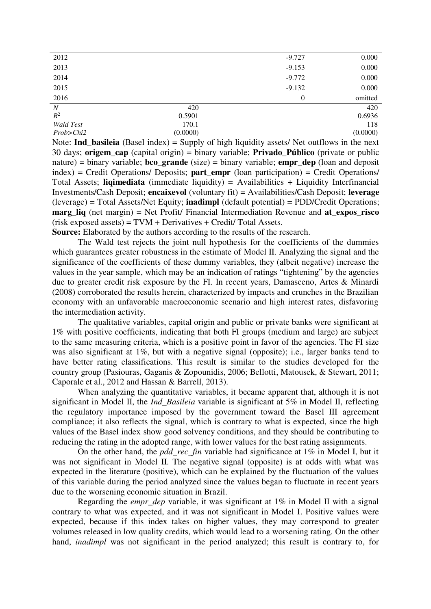| 2012             |          | $-9.727$       | 0.000    |
|------------------|----------|----------------|----------|
| 2013             |          | $-9.153$       | 0.000    |
| 2014             |          | $-9.772$       | 0.000    |
| 2015             |          | $-9.132$       | 0.000    |
| 2016             |          | $\overline{0}$ | omitted  |
| N                | 420      |                | 420      |
| $\mathbb{R}^2$   | 0.5901   |                | 0.6936   |
| <b>Wald Test</b> | 170.1    |                | 118      |
| Prob>Chi2        | (0.0000) |                | (0.0000) |
|                  |          |                |          |

Note: **Ind\_basileia** (Basel index) = Supply of high liquidity assets/ Net outflows in the next 30 days; **origem\_cap** (capital origin) = binary variable; **Privado\_Público** (private or public nature) = binary variable; **bco\_grande** (size) = binary variable; **empr\_dep** (loan and deposit  $index) = Credit Operations/'.$  Deposits; **part** empr (loan participation) = Credit Operations/ Total Assets; **liqimediata** (immediate liquidity) = Availabilities + Liquidity Interfinancial Investments/Cash Deposit; **encaixevol** (voluntary fit) = Availabilities/Cash Deposit; **leverage** (leverage) = Total Assets/Net Equity; **inadimpl** (default potential) = PDD/Credit Operations; **marg** liq (net margin) = Net Profit/ Financial Intermediation Revenue and **at expos** risco (risk exposed assets) = TVM + Derivatives + Credit/ Total Assets.

**Source:** Elaborated by the authors according to the results of the research.

The Wald test rejects the joint null hypothesis for the coefficients of the dummies which guarantees greater robustness in the estimate of Model II. Analyzing the signal and the significance of the coefficients of these dummy variables, they (albeit negative) increase the values in the year sample, which may be an indication of ratings "tightening" by the agencies due to greater credit risk exposure by the FI. In recent years, Damasceno, Artes & Minardi (2008) corroborated the results herein, characterized by impacts and crunches in the Brazilian economy with an unfavorable macroeconomic scenario and high interest rates, disfavoring the intermediation activity.

The qualitative variables, capital origin and public or private banks were significant at 1% with positive coefficients, indicating that both FI groups (medium and large) are subject to the same measuring criteria, which is a positive point in favor of the agencies. The FI size was also significant at 1%, but with a negative signal (opposite); i.e., larger banks tend to have better rating classifications. This result is similar to the studies developed for the country group (Pasiouras, Gaganis & Zopounidis, 2006; Bellotti, Matousek, & Stewart, 2011; Caporale et al., 2012 and Hassan & Barrell, 2013).

When analyzing the quantitative variables, it became apparent that, although it is not significant in Model II, the *Ind\_Basileia* variable is significant at 5% in Model II, reflecting the regulatory importance imposed by the government toward the Basel III agreement compliance; it also reflects the signal, which is contrary to what is expected, since the high values of the Basel index show good solvency conditions, and they should be contributing to reducing the rating in the adopted range, with lower values for the best rating assignments.

On the other hand, the *pdd\_rec\_fin* variable had significance at 1% in Model I, but it was not significant in Model II. The negative signal (opposite) is at odds with what was expected in the literature (positive), which can be explained by the fluctuation of the values of this variable during the period analyzed since the values began to fluctuate in recent years due to the worsening economic situation in Brazil.

Regarding the *empr\_dep* variable, it was significant at 1% in Model II with a signal contrary to what was expected, and it was not significant in Model I. Positive values were expected, because if this index takes on higher values, they may correspond to greater volumes released in low quality credits, which would lead to a worsening rating. On the other hand, *inadimpl* was not significant in the period analyzed; this result is contrary to, for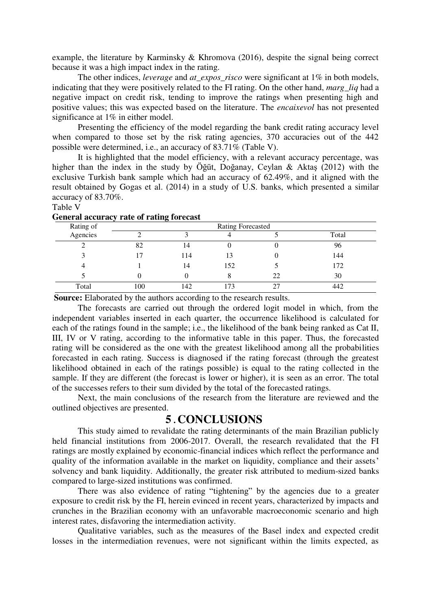example, the literature by Karminsky & Khromova (2016), despite the signal being correct because it was a high impact index in the rating.

The other indices, *leverage* and *at\_expos\_risco* were significant at 1% in both models, indicating that they were positively related to the FI rating. On the other hand, *marg\_liq* had a negative impact on credit risk, tending to improve the ratings when presenting high and positive values; this was expected based on the literature. The *encaixevol* has not presented significance at 1% in either model.

Presenting the efficiency of the model regarding the bank credit rating accuracy level when compared to those set by the risk rating agencies, 370 accuracies out of the 442 possible were determined, i.e., an accuracy of 83.71% (Table V).

It is highlighted that the model efficiency, with a relevant accuracy percentage, was higher than the index in the study by Öğüt, Doğanay, Ceylan & Aktaş (2012) with the exclusive Turkish bank sample which had an accuracy of 62.49%, and it aligned with the result obtained by Gogas et al. (2014) in a study of U.S. banks, which presented a similar accuracy of 83.70%.

#### Table V

|           |     | ັ   |                          |    |       |
|-----------|-----|-----|--------------------------|----|-------|
| Rating of |     |     | <b>Rating Forecasted</b> |    |       |
| Agencies  |     |     |                          |    | Total |
|           | 82  | 14  |                          |    | 96    |
|           | 7   | 114 |                          |    | 144   |
|           |     | 14  | 152                      |    | 172   |
|           |     |     |                          | 22 | 30    |
| Total     | 100 | 142 | 73                       | ^¬ | 442   |

#### **General accuracy rate of rating forecast**

**Source:** Elaborated by the authors according to the research results.

The forecasts are carried out through the ordered logit model in which, from the independent variables inserted in each quarter, the occurrence likelihood is calculated for each of the ratings found in the sample; i.e., the likelihood of the bank being ranked as Cat II, III, IV or V rating, according to the informative table in this paper. Thus, the forecasted rating will be considered as the one with the greatest likelihood among all the probabilities forecasted in each rating. Success is diagnosed if the rating forecast (through the greatest likelihood obtained in each of the ratings possible) is equal to the rating collected in the sample. If they are different (the forecast is lower or higher), it is seen as an error. The total of the successes refers to their sum divided by the total of the forecasted ratings.

Next, the main conclusions of the research from the literature are reviewed and the outlined objectives are presented.

### **5 . CONCLUSIONS**

This study aimed to revalidate the rating determinants of the main Brazilian publicly held financial institutions from 2006-2017. Overall, the research revalidated that the FI ratings are mostly explained by economic-financial indices which reflect the performance and quality of the information available in the market on liquidity, compliance and their assets' solvency and bank liquidity. Additionally, the greater risk attributed to medium-sized banks compared to large-sized institutions was confirmed.

There was also evidence of rating "tightening" by the agencies due to a greater exposure to credit risk by the FI, herein evinced in recent years, characterized by impacts and crunches in the Brazilian economy with an unfavorable macroeconomic scenario and high interest rates, disfavoring the intermediation activity.

Qualitative variables, such as the measures of the Basel index and expected credit losses in the intermediation revenues, were not significant within the limits expected, as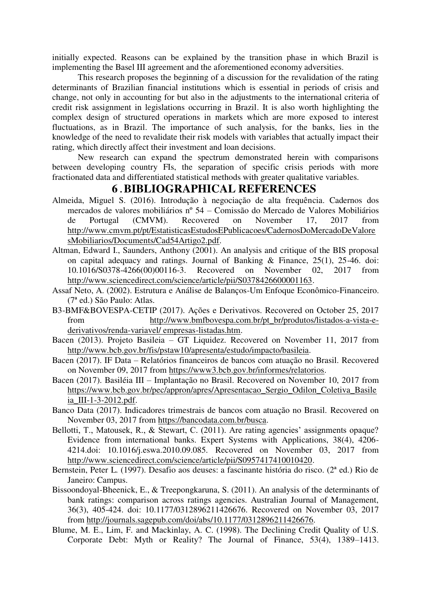initially expected. Reasons can be explained by the transition phase in which Brazil is implementing the Basel III agreement and the aforementioned economy adversities.

This research proposes the beginning of a discussion for the revalidation of the rating determinants of Brazilian financial institutions which is essential in periods of crisis and change, not only in accounting for but also in the adjustments to the international criteria of credit risk assignment in legislations occurring in Brazil. It is also worth highlighting the complex design of structured operations in markets which are more exposed to interest fluctuations, as in Brazil. The importance of such analysis, for the banks, lies in the knowledge of the need to revalidate their risk models with variables that actually impact their rating, which directly affect their investment and loan decisions.

New research can expand the spectrum demonstrated herein with comparisons between developing country FIs, the separation of specific crisis periods with more fractionated data and differentiated statistical methods with greater qualitative variables.

## **6 .BIBLIOGRAPHICAL REFERENCES**

- Almeida, Miguel S. (2016). Introdução à negociação de alta frequência. Cadernos dos mercados de valores mobiliários nº 54 – Comissão do Mercado de Valores Mobiliários de Portugal (CMVM). Recovered on November 17, 2017 from http://www.cmvm.pt/pt/EstatisticasEstudosEPublicacoes/CadernosDoMercadoDeValore sMobiliarios/Documents/Cad54Artigo2.pdf.
- Altman, Edward I., Saunders, Anthony (2001). An analysis and critique of the BIS proposal on capital adequacy and ratings. Journal of Banking & Finance, 25(1), 25-46. doi: 10.1016/S0378-4266(00)00116-3. Recovered on November 02, 2017 from http://www.sciencedirect.com/science/article/pii/S0378426600001163.
- Assaf Neto, A. (2002). Estrutura e Análise de Balanços-Um Enfoque Econômico-Financeiro. (7ª ed.) São Paulo: Atlas.
- B3-BMF&BOVESPA-CETIP (2017). Ações e Derivativos. Recovered on October 25, 2017 from http://www.bmfbovespa.com.br/pt\_br/produtos/listados-a-vista-ederivativos/renda-variavel/ empresas-listadas.htm.
- Bacen (2013). Projeto Basileia GT Liquidez. Recovered on November 11, 2017 from http://www.bcb.gov.br/fis/pstaw10/apresenta/estudo/impacto/basileia.
- Bacen (2017). IF Data Relatórios financeiros de bancos com atuação no Brasil. Recovered on November 09, 2017 from https://www3.bcb.gov.br/informes/relatorios.
- Bacen (2017). Basiléia III Implantação no Brasil. Recovered on November 10, 2017 from https://www.bcb.gov.br/pec/appron/apres/Apresentacao\_Sergio\_Odilon\_Coletiva\_Basile ia\_III-1-3-2012.pdf.
- Banco Data (2017). Indicadores trimestrais de bancos com atuação no Brasil. Recovered on November 03, 2017 from https://bancodata.com.br/busca.
- Bellotti, T., Matousek, R., & Stewart, C. (2011). Are rating agencies' assignments opaque? Evidence from international banks. Expert Systems with Applications, 38(4), 4206- 4214.doi: 10.1016/j.eswa.2010.09.085. Recovered on November 03, 2017 from http://www.sciencedirect.com/science/article/pii/S0957417410010420.
- Bernstein, Peter L. (1997). Desafio aos deuses: a fascinante história do risco. (2ª ed.) Rio de Janeiro: Campus.
- Bissoondoyal-Bheenick, E., & Treepongkaruna, S. (2011). An analysis of the determinants of bank ratings: comparison across ratings agencies. Australian Journal of Management, 36(3), 405-424. doi: 10.1177/0312896211426676. Recovered on November 03, 2017 from http://journals.sagepub.com/doi/abs/10.1177/0312896211426676.
- Blume, M. E., Lim, F. and Mackinlay, A. C. (1998). The Declining Credit Quality of U.S. Corporate Debt: Myth or Reality? The Journal of Finance, 53(4), 1389–1413.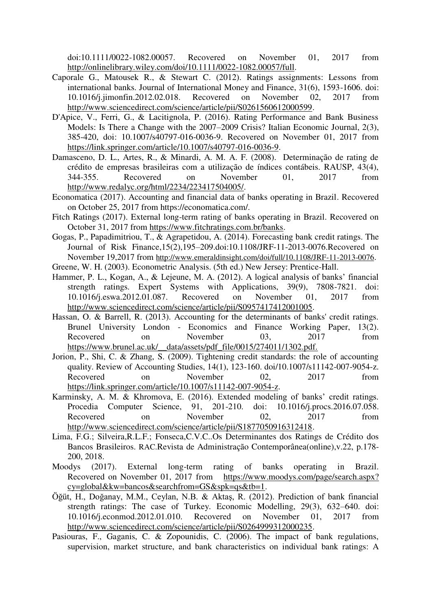doi:10.1111/0022-1082.00057. Recovered on November 01, 2017 from http://onlinelibrary.wiley.com/doi/10.1111/0022-1082.00057/full.

- Caporale G., Matousek R., & Stewart C. (2012). Ratings assignments: Lessons from international banks. Journal of International Money and Finance, 31(6), 1593-1606. doi: 10.1016/j.jimonfin.2012.02.018. Recovered on November 02, 2017 from http://www.sciencedirect.com/science/article/pii/S0261560612000599.
- D'Apice, V., Ferri, G., & Lacitignola, P. (2016). Rating Performance and Bank Business Models: Is There a Change with the 2007–2009 Crisis? Italian Economic Journal, 2(3), 385-420, doi: 10.1007/s40797-016-0036-9. Recovered on November 01, 2017 from https://link.springer.com/article/10.1007/s40797-016-0036-9.
- Damasceno, D. L., Artes, R., & Minardi, A. M. A. F. (2008). Determinação de rating de crédito de empresas brasileiras com a utilização de índices contábeis. RAUSP, 43(4), 344-355. Recovered on November 01, 2017 from http://www.redalyc.org/html/2234/223417504005/.
- Economatica (2017). Accounting and financial data of banks operating in Brazil. Recovered on October 25, 2017 from https://economatica.com/.
- Fitch Ratings (2017). External long-term rating of banks operating in Brazil. Recovered on October 31, 2017 from https://www.fitchratings.com.br/banks.
- Gogas, P., Papadimitriou, T., & Agrapetidou, A. (2014). Forecasting bank credit ratings. The Journal of Risk Finance,15(2),195–209.doi:10.1108/JRF-11-2013-0076.Recovered on November 19,2017 from http://www.emeraldinsight.com/doi/full/10.1108/JRF-11-2013-0076.
- Greene, W. H. (2003). Econometric Analysis. (5th ed.) New Jersey: Prentice-Hall.
- Hammer, P. L., Kogan, A., & Lejeune, M. A. (2012). A logical analysis of banks' financial strength ratings. Expert Systems with Applications, 39(9), 7808-7821. doi: 10.1016/j.eswa.2012.01.087. Recovered on November 01, 2017 from http://www.sciencedirect.com/science/article/pii/S0957417412001005.
- Hassan, O. & Barrell, R. (2013). Accounting for the determinants of banks' credit ratings. Brunel University London - Economics and Finance Working Paper, 13(2). Recovered on November 03, 2017 from https://www.brunel.ac.uk/\_data/assets/pdf\_file/0015/274011/1302.pdf.
- Jorion, P., Shi, C. & Zhang, S. (2009). Tightening credit standards: the role of accounting quality. Review of Accounting Studies, 14(1), 123-160. doi/10.1007/s11142-007-9054-z. Recovered on November 02, 2017 from https://link.springer.com/article/10.1007/s11142-007-9054-z.
- Karminsky, A. M. & Khromova, E. (2016). Extended modeling of banks' credit ratings. Procedia Computer Science, 91, 201-210. doi: 10.1016/j.procs.2016.07.058. Recovered on November 02, 2017 from http://www.sciencedirect.com/science/article/pii/S1877050916312418.
- Lima, F.G.; Silveira,R.L.F.; Fonseca,C.V.C..Os Determinantes dos Ratings de Crédito dos Bancos Brasileiros. RAC.Revista de Administração Contemporânea(online),v.22, p.178- 200, 2018.
- Moodys (2017). External long-term rating of banks operating in Brazil. Recovered on November 01, 2017 from https://www.moodys.com/page/search.aspx? cy=global&kw=bancos&searchfrom=GS&spk=qs&tb=1.
- Öğüt, H., Doğanay, M.M., Ceylan, N.B. & Aktaş, R. (2012). Prediction of bank financial strength ratings: The case of Turkey. Economic Modelling, 29(3), 632–640. doi: 10.1016/j.econmod.2012.01.010. Recovered on November 01, 2017 from http://www.sciencedirect.com/science/article/pii/S0264999312000235.
- Pasiouras, F., Gaganis, C. & Zopounidis, C. (2006). The impact of bank regulations, supervision, market structure, and bank characteristics on individual bank ratings: A